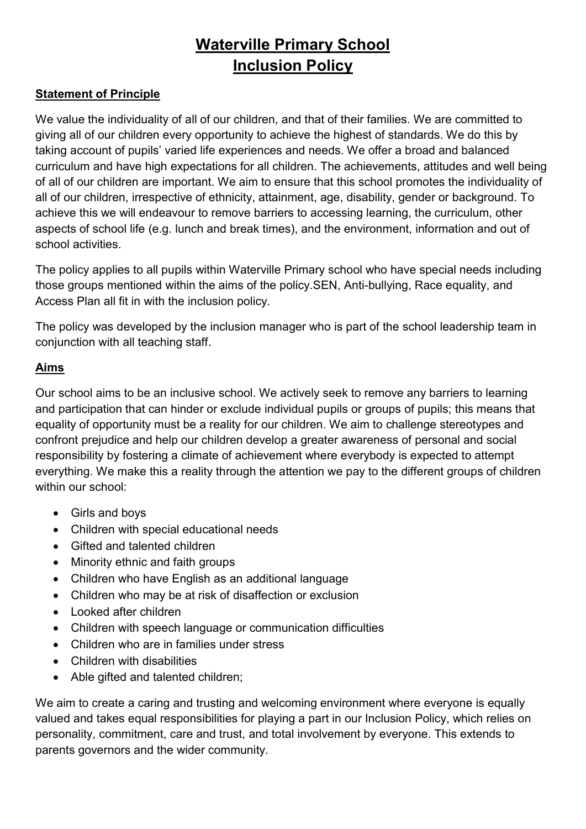# Waterville Primary School Inclusion Policy

#### Statement of Principle

We value the individuality of all of our children, and that of their families. We are committed to giving all of our children every opportunity to achieve the highest of standards. We do this by taking account of pupils' varied life experiences and needs. We offer a broad and balanced curriculum and have high expectations for all children. The achievements, attitudes and well being of all of our children are important. We aim to ensure that this school promotes the individuality of all of our children, irrespective of ethnicity, attainment, age, disability, gender or background. To achieve this we will endeavour to remove barriers to accessing learning, the curriculum, other aspects of school life (e.g. lunch and break times), and the environment, information and out of school activities.

The policy applies to all pupils within Waterville Primary school who have special needs including those groups mentioned within the aims of the policy.SEN, Anti-bullying, Race equality, and Access Plan all fit in with the inclusion policy.

The policy was developed by the inclusion manager who is part of the school leadership team in conjunction with all teaching staff.

#### Aims

Our school aims to be an inclusive school. We actively seek to remove any barriers to learning and participation that can hinder or exclude individual pupils or groups of pupils; this means that equality of opportunity must be a reality for our children. We aim to challenge stereotypes and confront prejudice and help our children develop a greater awareness of personal and social responsibility by fostering a climate of achievement where everybody is expected to attempt everything. We make this a reality through the attention we pay to the different groups of children within our school:

- Girls and boys
- Children with special educational needs
- Gifted and talented children
- Minority ethnic and faith groups
- Children who have English as an additional language
- Children who may be at risk of disaffection or exclusion
- Looked after children
- Children with speech language or communication difficulties
- Children who are in families under stress
- Children with disabilities
- Able gifted and talented children;

We aim to create a caring and trusting and welcoming environment where everyone is equally valued and takes equal responsibilities for playing a part in our Inclusion Policy, which relies on personality, commitment, care and trust, and total involvement by everyone. This extends to parents governors and the wider community.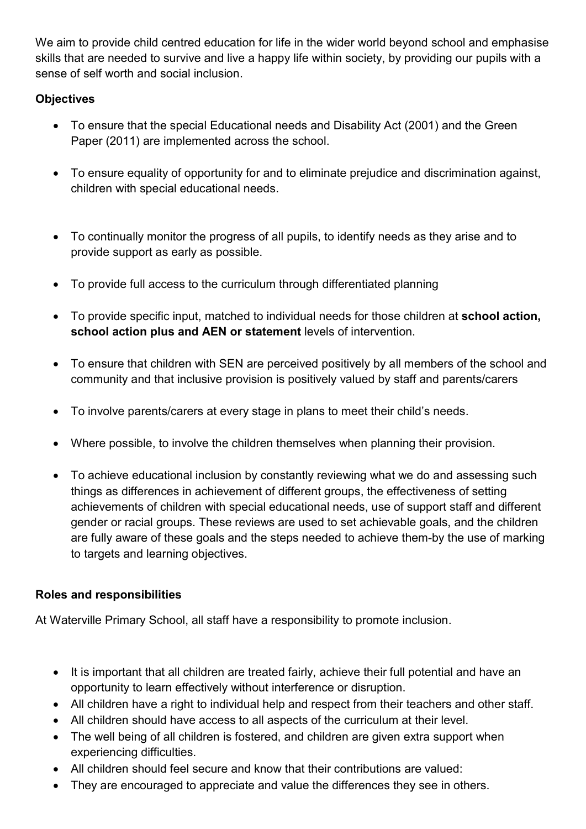We aim to provide child centred education for life in the wider world beyond school and emphasise skills that are needed to survive and live a happy life within society, by providing our pupils with a sense of self worth and social inclusion.

# **Objectives**

- To ensure that the special Educational needs and Disability Act (2001) and the Green Paper (2011) are implemented across the school.
- To ensure equality of opportunity for and to eliminate prejudice and discrimination against, children with special educational needs.
- To continually monitor the progress of all pupils, to identify needs as they arise and to provide support as early as possible.
- To provide full access to the curriculum through differentiated planning
- To provide specific input, matched to individual needs for those children at school action, school action plus and AEN or statement levels of intervention.
- To ensure that children with SEN are perceived positively by all members of the school and community and that inclusive provision is positively valued by staff and parents/carers
- To involve parents/carers at every stage in plans to meet their child's needs.
- Where possible, to involve the children themselves when planning their provision.
- To achieve educational inclusion by constantly reviewing what we do and assessing such things as differences in achievement of different groups, the effectiveness of setting achievements of children with special educational needs, use of support staff and different gender or racial groups. These reviews are used to set achievable goals, and the children are fully aware of these goals and the steps needed to achieve them-by the use of marking to targets and learning objectives.

# Roles and responsibilities

At Waterville Primary School, all staff have a responsibility to promote inclusion.

- It is important that all children are treated fairly, achieve their full potential and have an opportunity to learn effectively without interference or disruption.
- All children have a right to individual help and respect from their teachers and other staff.
- All children should have access to all aspects of the curriculum at their level.
- The well being of all children is fostered, and children are given extra support when experiencing difficulties.
- All children should feel secure and know that their contributions are valued:
- They are encouraged to appreciate and value the differences they see in others.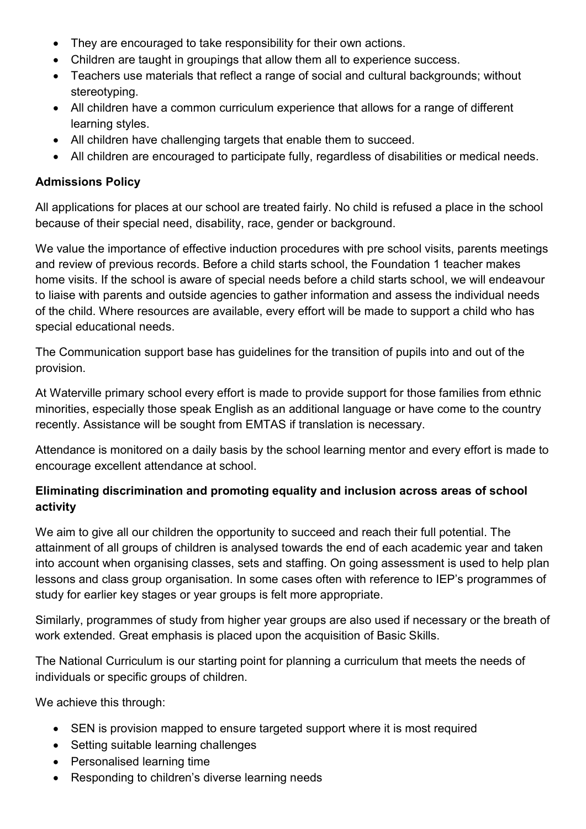- They are encouraged to take responsibility for their own actions.
- Children are taught in groupings that allow them all to experience success.
- Teachers use materials that reflect a range of social and cultural backgrounds; without stereotyping.
- All children have a common curriculum experience that allows for a range of different learning styles.
- All children have challenging targets that enable them to succeed.
- All children are encouraged to participate fully, regardless of disabilities or medical needs.

#### Admissions Policy

All applications for places at our school are treated fairly. No child is refused a place in the school because of their special need, disability, race, gender or background.

We value the importance of effective induction procedures with pre school visits, parents meetings and review of previous records. Before a child starts school, the Foundation 1 teacher makes home visits. If the school is aware of special needs before a child starts school, we will endeavour to liaise with parents and outside agencies to gather information and assess the individual needs of the child. Where resources are available, every effort will be made to support a child who has special educational needs.

The Communication support base has guidelines for the transition of pupils into and out of the provision.

At Waterville primary school every effort is made to provide support for those families from ethnic minorities, especially those speak English as an additional language or have come to the country recently. Assistance will be sought from EMTAS if translation is necessary.

Attendance is monitored on a daily basis by the school learning mentor and every effort is made to encourage excellent attendance at school.

# Eliminating discrimination and promoting equality and inclusion across areas of school activity

We aim to give all our children the opportunity to succeed and reach their full potential. The attainment of all groups of children is analysed towards the end of each academic year and taken into account when organising classes, sets and staffing. On going assessment is used to help plan lessons and class group organisation. In some cases often with reference to IEP's programmes of study for earlier key stages or year groups is felt more appropriate.

Similarly, programmes of study from higher year groups are also used if necessary or the breath of work extended. Great emphasis is placed upon the acquisition of Basic Skills.

The National Curriculum is our starting point for planning a curriculum that meets the needs of individuals or specific groups of children.

We achieve this through:

- SEN is provision mapped to ensure targeted support where it is most required
- Setting suitable learning challenges
- Personalised learning time
- Responding to children's diverse learning needs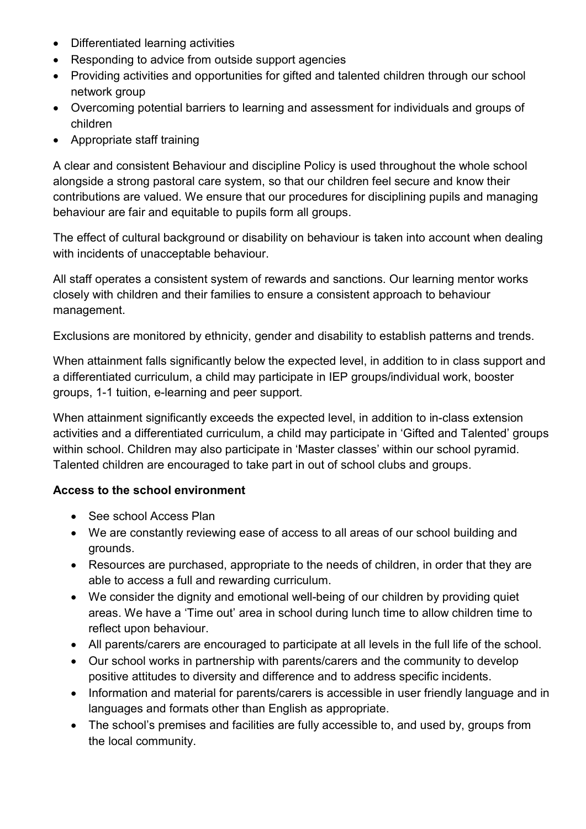- Differentiated learning activities
- Responding to advice from outside support agencies
- Providing activities and opportunities for gifted and talented children through our school network group
- Overcoming potential barriers to learning and assessment for individuals and groups of children
- Appropriate staff training

A clear and consistent Behaviour and discipline Policy is used throughout the whole school alongside a strong pastoral care system, so that our children feel secure and know their contributions are valued. We ensure that our procedures for disciplining pupils and managing behaviour are fair and equitable to pupils form all groups.

The effect of cultural background or disability on behaviour is taken into account when dealing with incidents of unacceptable behaviour.

All staff operates a consistent system of rewards and sanctions. Our learning mentor works closely with children and their families to ensure a consistent approach to behaviour management.

Exclusions are monitored by ethnicity, gender and disability to establish patterns and trends.

When attainment falls significantly below the expected level, in addition to in class support and a differentiated curriculum, a child may participate in IEP groups/individual work, booster groups, 1-1 tuition, e-learning and peer support.

When attainment significantly exceeds the expected level, in addition to in-class extension activities and a differentiated curriculum, a child may participate in 'Gifted and Talented' groups within school. Children may also participate in 'Master classes' within our school pyramid. Talented children are encouraged to take part in out of school clubs and groups.

#### Access to the school environment

- See school Access Plan
- We are constantly reviewing ease of access to all areas of our school building and grounds.
- Resources are purchased, appropriate to the needs of children, in order that they are able to access a full and rewarding curriculum.
- We consider the dignity and emotional well-being of our children by providing quiet areas. We have a 'Time out' area in school during lunch time to allow children time to reflect upon behaviour.
- All parents/carers are encouraged to participate at all levels in the full life of the school.
- Our school works in partnership with parents/carers and the community to develop positive attitudes to diversity and difference and to address specific incidents.
- Information and material for parents/carers is accessible in user friendly language and in languages and formats other than English as appropriate.
- The school's premises and facilities are fully accessible to, and used by, groups from the local community.